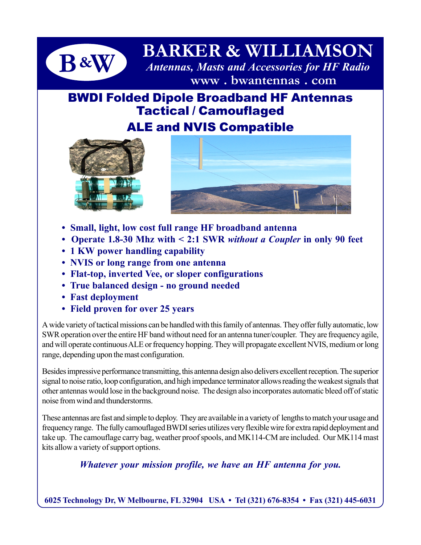

# **B & W BARKER & WILLIAMSON** *Antennas, Masts and Accessories for HF Radio*  **www . bwantennas . com**

# BWDI Folded Dipole Broadband HF Antennas Tactical / Camouflaged

## ALE and NVIS Compatible





- **Small, light, low cost full range HF broadband antenna**
- **Operate 1.8-30 Mhz with < 2:1 SWR** *without a Coupler* **in only 90 feet**
- **1 KW power handling capability**
- **NVIS or long range from one antenna**
- **Flat-top, inverted Vee, or sloper configurations**
- **True balanced design no ground needed**
- **Fast deployment**
- **Field proven for over 25 years**

A wide variety of tactical missions can be handled with this family of antennas. They offer fully automatic, low SWR operation over the entire HF band without need for an antenna tuner/coupler. They are frequency agile, and will operate continuous ALE or frequency hopping. They will propagate excellent NVIS, medium or long range, depending upon the mast configuration.

Besides impressive performance transmitting, this antenna design also delivers excellent reception. The superior signal to noise ratio, loop configuration, and high impedance terminator allows reading the weakest signals that other antennas would lose in the background noise. The design also incorporates automatic bleed off of static noise from wind and thunderstorms.

These antennas are fast and simple to deploy. They are available in a variety of lengths to match your usage and frequency range. The fully camouflaged BWDI series utilizes very flexible wire for extra rapid deployment and take up. The camouflage carry bag, weather proof spools, and MK114-CM are included. Our MK114 mast kits allow a variety of support options.

*Whatever your mission profile, we have an HF antenna for you.*

**6025 Technology Dr, W Melbourne, FL 32904 USA • Tel (321) 676-8354 • Fax (321) 445-6031**